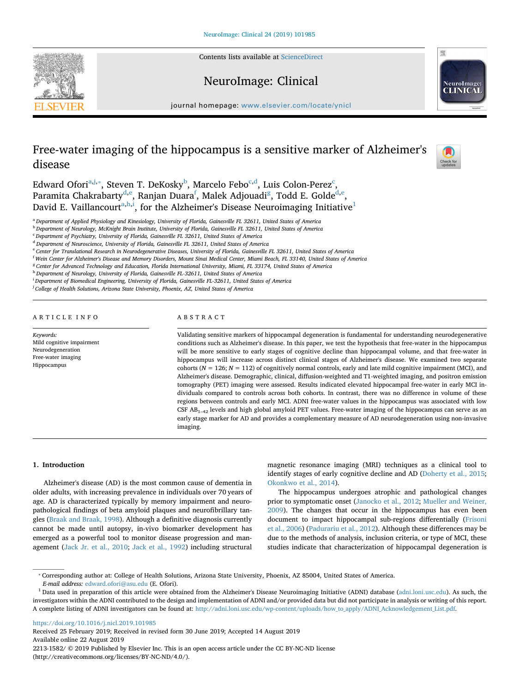Contents lists available at [ScienceDirect](http://www.sciencedirect.com/science/journal/22131582)







journal homepage: [www.elsevier.com/locate/ynicl](https://www.elsevier.com/locate/ynicl)

# Free-water imaging of the hippocampus is a sensitive marker of Alzheimer's disease



Edward Ofori<sup>a[,j,](#page-0-1)</sup>\*, Steven T. DeKosky<sup>[b](#page-0-3)</sup>, Marcelo Febo<sup>[c,](#page-0-4)[d](#page-0-5)</sup>, Luis Colon-Perez<sup>c</sup>, Paramita Chakrabarty<sup>d,[e](#page-0-6)</sup>, Ranjan Duara<sup>f</sup>, Malek Adjouadi<sup>g</sup>, Todd E. Golde<sup>d,e</sup>, Dav[i](#page-0-10)d E. Vaillancourt $^{\mathrm{a,h,i}}$  $^{\mathrm{a,h,i}}$  $^{\mathrm{a,h,i}}$  $^{\mathrm{a,h,i}}$ , for the Alzheimer's Disease Neuroimaging Initiative $^1$  $^1$ 

<span id="page-0-0"></span><sup>a</sup> *Department of Applied Physiology and Kinesiology, University of Florida, Gainesville FL 32611, United States of America*

<span id="page-0-3"></span><sup>b</sup> *Department of Neurology, McKnight Brain Institute, University of Florida, Gainesville FL 32611, United States of America*

<span id="page-0-4"></span><sup>c</sup> *Department of Psychiatry, University of Florida, Gainesville FL 32611, United States of America*

<span id="page-0-5"></span><sup>d</sup> *Department of Neuroscience, University of Florida, Gainesville FL 32611, United States of America*

<span id="page-0-6"></span><sup>e</sup> *Center for Translational Research in Neurodegenerative Diseases, University of Florida, Gainesville FL 32611, United States of America*

<span id="page-0-7"></span>f *Wein Center for Alzheimer's Disease and Memory Disorders, Mount Sinai Medical Center, Miami Beach, FL 33140, United States of America*

<span id="page-0-8"></span><sup>g</sup> *Center for Advanced Technology and Education, Florida International University, Miami, FL 33174, United States of America*

<span id="page-0-9"></span><sup>h</sup> *Department of Neurology, University of Florida, Gainesville FL-32611, United States of America*

<span id="page-0-10"></span>i *Department of Biomedical Engineering, University of Florida, Gainesville FL-32611, United States of America*

<span id="page-0-1"></span>j *College of Health Solutions, Arizona State University, Phoenix, AZ, United States of America*

## ARTICLE INFO

*Keywords:* Mild cognitive impairment Neurodegeneration Free-water imaging Hippocampus

# ABSTRACT

Validating sensitive markers of hippocampal degeneration is fundamental for understanding neurodegenerative conditions such as Alzheimer's disease. In this paper, we test the hypothesis that free-water in the hippocampus will be more sensitive to early stages of cognitive decline than hippocampal volume, and that free-water in hippocampus will increase across distinct clinical stages of Alzheimer's disease. We examined two separate cohorts ( $N = 126$ ;  $N = 112$ ) of cognitively normal controls, early and late mild cognitive impairment (MCI), and Alzheimer's disease. Demographic, clinical, diffusion-weighted and T1-weighted imaging, and positron emission tomography (PET) imaging were assessed. Results indicated elevated hippocampal free-water in early MCI individuals compared to controls across both cohorts. In contrast, there was no difference in volume of these regions between controls and early MCI. ADNI free-water values in the hippocampus was associated with low CSF  $AB_{1-42}$  levels and high global amyloid PET values. Free-water imaging of the hippocampus can serve as an early stage marker for AD and provides a complementary measure of AD neurodegeneration using non-invasive imaging.

## **1. Introduction**

Alzheimer's disease (AD) is the most common cause of dementia in older adults, with increasing prevalence in individuals over 70 years of age. AD is characterized typically by memory impairment and neuropathological findings of beta amyloid plaques and neurofibrillary tangles [\(Braak and Braak, 1998](#page-5-0)). Although a definitive diagnosis currently cannot be made until autopsy, in-vivo biomarker development has emerged as a powerful tool to monitor disease progression and management ([Jack Jr. et al., 2010;](#page-6-0) [Jack et al., 1992](#page-6-1)) including structural magnetic resonance imaging (MRI) techniques as a clinical tool to identify stages of early cognitive decline and AD [\(Doherty et al., 2015](#page-6-2); [Okonkwo et al., 2014\)](#page-6-3).

The hippocampus undergoes atrophic and pathological changes prior to symptomatic onset [\(Janocko et al., 2012](#page-6-4); [Mueller and Weiner,](#page-6-5) [2009\)](#page-6-5). The changes that occur in the hippocampus has even been document to impact hippocampal sub-regions differentially [\(Frisoni](#page-6-6) [et al., 2006\)](#page-6-6) ([Padurariu et al., 2012](#page-6-7)). Although these differences may be due to the methods of analysis, inclusion criteria, or type of MCI, these studies indicate that characterization of hippocampal degeneration is

<https://doi.org/10.1016/j.nicl.2019.101985>

Received 25 February 2019; Received in revised form 30 June 2019; Accepted 14 August 2019 Available online 22 August 2019 2213-1582/ © 2019 Published by Elsevier Inc. This is an open access article under the CC BY-NC-ND license (http://creativecommons.org/licenses/BY-NC-ND/4.0/).

<span id="page-0-2"></span><sup>⁎</sup> Corresponding author at: College of Health Solutions, Arizona State University, Phoenix, AZ 85004, United States of America.

*E-mail address:* [edward.ofori@asu.edu](mailto:edward.ofori@asu.edu) (E. Ofori).

<span id="page-0-11"></span><sup>&</sup>lt;sup>1</sup> Data used in preparation of this article were obtained from the Alzheimer's Disease Neuroimaging Initiative (ADNI) database [\(adni.loni.usc.edu](http://adni.loni.usc.edu)). As such, the investigators within the ADNI contributed to the design and implementation of ADNI and/or provided data but did not participate in analysis or writing of this report. A complete listing of ADNI investigators can be found at: [http://adni.loni.usc.edu/wp-content/uploads/how\\_to\\_apply/ADNI\\_Acknowledgement\\_List.pdf.](http://adni.loni.usc.edu/wp-content/uploads/how_to_apply/ADNI_Acknowledgement_List.pdf)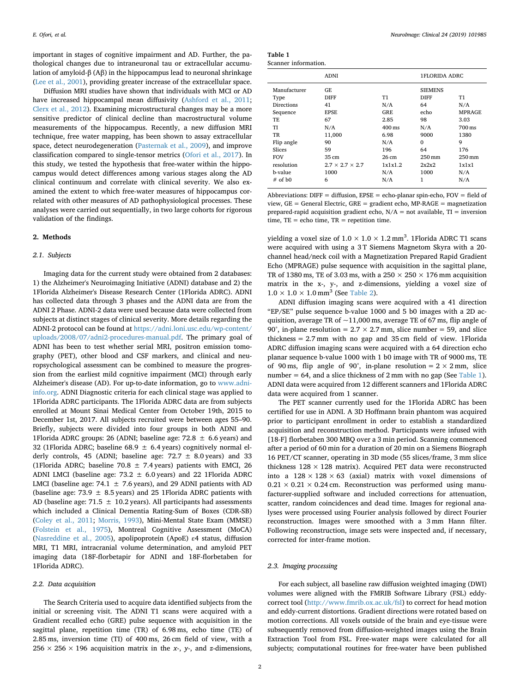important in stages of cognitive impairment and AD. Further, the pathological changes due to intraneuronal tau or extracellular accumulation of amyloid-β (Aβ) in the hippocampus lead to neuronal shrinkage ([Lee et al., 2001](#page-6-8)), providing greater increase of the extracellular space.

Diffusion MRI studies have shown that individuals with MCI or AD have increased hippocampal mean diffusivity [\(Ashford et al., 2011](#page-5-1); [Clerx et al., 2012](#page-5-2)). Examining microstructural changes may be a more sensitive predictor of clinical decline than macrostructural volume measurements of the hippocampus. Recently, a new diffusion MRI technique, free water mapping, has been shown to assay extracellular space, detect neurodegeneration [\(Pasternak et al., 2009\)](#page-6-9), and improve classification compared to single-tensor metrics [\(Ofori et al., 2017\)](#page-6-10). In this study, we tested the hypothesis that free-water within the hippocampus would detect differences among various stages along the AD clinical continuum and correlate with clinical severity. We also examined the extent to which free-water measures of hippocampus correlated with other measures of AD pathophysiological processes. These analyses were carried out sequentially, in two large cohorts for rigorous validation of the findings.

### **2. Methods**

#### *2.1. Subjects*

Imaging data for the current study were obtained from 2 databases: 1) the Alzheimer's Neuroimaging Initiative (ADNI) database and 2) the 1Florida Alzheimer's Disease Research Center (1Florida ADRC). ADNI has collected data through 3 phases and the ADNI data are from the ADNI 2 Phase. ADNI-2 data were used because data were collected from subjects at distinct stages of clinical severity. More details regarding the ADNI-2 protocol can be found at [https://adni.loni.usc.edu/wp-content/](https://adni.loni.usc.edu/wp-content/uploads/2008/07/adni2-procedures-manual.pdf) [uploads/2008/07/adni2-procedures-manual.pdf.](https://adni.loni.usc.edu/wp-content/uploads/2008/07/adni2-procedures-manual.pdf) The primary goal of ADNI has been to test whether serial MRI, positron emission tomography (PET), other blood and CSF markers, and clinical and neuropsychological assessment can be combined to measure the progression from the earliest mild cognitive impairment (MCI) through early Alzheimer's disease (AD). For up-to-date information, go to [www.adni](http://www.adni-info.org)[info.org](http://www.adni-info.org). ADNI Diagnostic criteria for each clinical stage was applied to 1Florida ADRC participants. The 1Florida ADRC data are from subjects enrolled at Mount Sinai Medical Center from October 19th, 2015 to December 1st, 2017. All subjects recruited were between ages 55–90. Briefly, subjects were divided into four groups in both ADNI and 1Florida ADRC groups: 26 (ADNI; baseline age:  $72.8 \pm 6.6$  years) and 32 (1Florida ADRC; baseline 68.9  $\pm$  6.4 years) cognitively normal elderly controls, 45 (ADNI; baseline age:  $72.7 \pm 8.0$  years) and 33 (1Florida ADRC; baseline 70.8  $\pm$  7.4 years) patients with EMCI, 26 ADNI LMCI (baseline age: 73.2  $\pm$  6.0 years) and 22 1Florida ADRC LMCI (baseline age: 74.1  $\pm$  7.6 years), and 29 ADNI patients with AD (baseline age: 73.9  $\pm$  8.5 years) and 25 1 Florida ADRC patients with AD (baseline age:  $71.5 \pm 10.2$  years). All participants had assessments which included a Clinical Dementia Rating-Sum of Boxes (CDR-SB) ([Coley et al., 2011;](#page-6-11) [Morris, 1993\)](#page-6-12), Mini-Mental State Exam (MMSE) ([Folstein et al., 1975\)](#page-6-13), Montreal Cognitive Assessment (MoCA) ([Nasreddine et al., 2005\)](#page-6-14), apolipoprotein (ApoE) ε4 status, diffusion MRI, T1 MRI, intracranial volume determination, and amyloid PET imaging data (18F-florbetapir for ADNI and 18F-florbetaben for 1Florida ADRC).

# *2.2. Data acquisition*

The Search Criteria used to acquire data identified subjects from the initial or screening visit. The ADNI T1 scans were acquired with a Gradient recalled echo (GRE) pulse sequence with acquisition in the sagittal plane, repetition time (TR) of 6.98 ms, echo time (TE) of 2.85 ms, inversion time (TI) of 400 ms, 26 cm field of view, with a 256  $\times$  256  $\times$  196 acquisition matrix in the *x*-, *y*-, and *z*-dimensions,

<span id="page-1-0"></span>

| Table 1 |                      |
|---------|----------------------|
|         | Scanner information. |

|                       | <b>ADNI</b>                 |                  | <b>1FLORIDA ADRC</b> |               |  |  |  |
|-----------------------|-----------------------------|------------------|----------------------|---------------|--|--|--|
| Manufacturer          | GF.                         |                  | <b>SIEMENS</b>       |               |  |  |  |
| Type                  | <b>DIFF</b>                 | Τ1               | <b>DIFF</b>          | Т1            |  |  |  |
| Directions            | 41                          | N/A              | 64                   | N/A           |  |  |  |
| Sequence              | <b>EPSE</b>                 | GRE              | echo                 | <b>MPRAGE</b> |  |  |  |
| TF.                   | 67                          | 2.85             | 98                   | 3.03          |  |  |  |
| TI                    | N/A                         | $400 \text{ ms}$ | N/A                  | 700 ms        |  |  |  |
| TR                    | 11,000                      | 6.98             | 9000                 | 1380          |  |  |  |
| Flip angle            | 90                          | N/A              | $\Omega$             | 9             |  |  |  |
| Slices                | 59                          | 196              | 64                   | 176           |  |  |  |
| <b>FOV</b>            | 35 cm                       | 26 cm            | 250 mm               | 250 mm        |  |  |  |
| resolution            | $2.7 \times 2.7 \times 2.7$ | 1x1x1.2          | 2x2x2                | 1x1x1         |  |  |  |
| b-value               | 1000                        | N/A              | 1000                 | N/A           |  |  |  |
| $#$ of b <sub>0</sub> | 6                           | N/A              | $\mathbf{1}$         | N/A           |  |  |  |

Abbreviations: DIFF = diffusion, EPSE = echo-planar spin-echo, FOV = field of view,  $GE = General Electric, GRE = gradient echo, MP-RAGE = magnetization$ prepared-rapid acquisition gradient echo, N/A = not available, TI = inversion time,  $TE = echo$  time,  $TR = repetition$  time.

yielding a voxel size of  $1.0 \times 1.0 \times 1.2$  mm<sup>3</sup>. 1 Florida ADRC T1 scans were acquired with using a 3 T Siemens Magnetom Skyra with a 20 channel head/neck coil with a Magnetization Prepared Rapid Gradient Echo (MPRAGE) pulse sequence with acquisition in the sagittal plane, TR of 1380 ms, TE of 3.03 ms, with a 250  $\times$  250  $\times$  176 mm acquisition matrix in the x-, y-, and z-dimensions, yielding a voxel size of  $1.0 \times 1.0 \times 1.0$  mm<sup>3</sup> (See [Table 2\)](#page-3-0).

ADNI diffusion imaging scans were acquired with a 41 direction "EP/SE" pulse sequence b-value 1000 and 5 b0 images with a 2D acquisition, average TR of  $\sim$ 11,000 ms, average TE of 67 ms, flip angle of 90°, in-plane resolution =  $2.7 \times 2.7$  mm, slice number = 59, and slice thickness = 2.7 mm with no gap and 35 cm field of view. 1Florida ADRC diffusion imaging scans were acquired with a 64 direction echo planar sequence b-value 1000 with 1 b0 image with TR of 9000 ms, TE of 90 ms, flip angle of 90°, in-plane resolution =  $2 \times 2$  mm, slice number = 64, and a slice thickness of  $2 \text{ mm}$  with no gap (See [Table 1](#page-1-0)). ADNI data were acquired from 12 different scanners and 1Florida ADRC data were acquired from 1 scanner.

The PET scanner currently used for the 1Florida ADRC has been certified for use in ADNI. A 3D Hoffmann brain phantom was acquired prior to participant enrollment in order to establish a standardized acquisition and reconstruction method. Participants were infused with [18-F] florbetaben 300 MBQ over a 3 min period. Scanning commenced after a period of 60 min for a duration of 20 min on a Siemens Biograph 16 PET/CT scanner, operating in 3D mode (55 slices/frame, 3 mm slice thickness  $128 \times 128$  matrix). Acquired PET data were reconstructed into a  $128 \times 128 \times 63$  (axial) matrix with voxel dimensions of  $0.21 \times 0.21 \times 0.24$  cm. Reconstruction was performed using manufacturer-supplied software and included corrections for attenuation, scatter, random coincidences and dead time. Images for regional analyses were processed using Fourier analysis followed by direct Fourier reconstruction. Images were smoothed with a 3 mm Hann filter. Following reconstruction, image sets were inspected and, if necessary, corrected for inter-frame motion.

## *2.3. Imaging processing*

For each subject, all baseline raw diffusion weighted imaging (DWI) volumes were aligned with the FMRIB Software Library (FSL) eddycorrect tool [\(http://www.fmrib.ox.ac.uk/fsl\)](http://www.fmrib.ox.ac.uk/fsl) to correct for head motion and eddy-current distortions. Gradient directions were rotated based on motion corrections. All voxels outside of the brain and eye-tissue were subsequently removed from diffusion-weighted images using the Brain Extraction Tool from FSL. Free-water maps were calculated for all subjects; computational routines for free-water have been published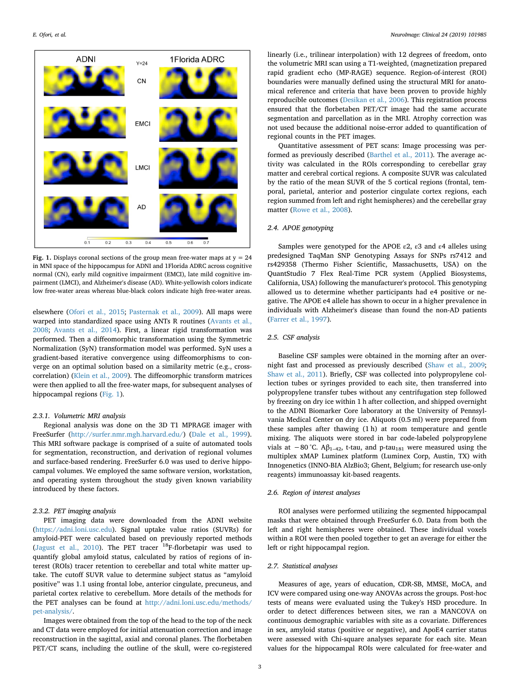<span id="page-2-0"></span>

**Fig. 1.** Displays coronal sections of the group mean free-water maps at  $y = 24$ in MNI space of the hippocampus for ADNI and 1Florida ADRC across cognitive normal (CN), early mild cognitive impairment (EMCI), late mild cognitive impairment (LMCI), and Alzheimer's disease (AD). White-yellowish colors indicate low free-water areas whereas blue-black colors indicate high free-water areas.

elsewhere [\(Ofori et al., 2015;](#page-6-15) [Pasternak et al., 2009\)](#page-6-9). All maps were warped into standardized space using ANTs R routines [\(Avants et al.,](#page-5-3) [2008;](#page-5-3) [Avants et al., 2014\)](#page-5-4). First, a linear rigid transformation was performed. Then a diffeomorphic transformation using the Symmetric Normalization (SyN) transformation model was performed. SyN uses a gradient-based iterative convergence using diffeomorphisms to converge on an optimal solution based on a similarity metric (e.g., crosscorrelation) ([Klein et al., 2009](#page-6-16)). The diffeomorphic transform matrices were then applied to all the free-water maps, for subsequent analyses of hippocampal regions [\(Fig. 1\)](#page-2-0).

## *2.3.1. Volumetric MRI analysis*

Regional analysis was done on the 3D T1 MPRAGE imager with FreeSurfer [\(http://surfer.nmr.mgh.harvard.edu/\)](http://surfer.nmr.mgh.harvard.edu/) ([Dale et al., 1999](#page-6-17)). This MRI software package is comprised of a suite of automated tools for segmentation, reconstruction, and derivation of regional volumes and surface-based rendering. FreeSurfer 6.0 was used to derive hippocampal volumes. We employed the same software version, workstation, and operating system throughout the study given known variability introduced by these factors.

## *2.3.2. PET imaging analysis*

PET imaging data were downloaded from the ADNI website (<https://adni.loni.usc.edu>). Signal uptake value ratios (SUVRs) for amyloid-PET were calculated based on previously reported methods ([Jagust et al., 2010](#page-6-18)). The PET tracer  $^{18}$ F-florbetapir was used to quantify global amyloid status, calculated by ratios of regions of interest (ROIs) tracer retention to cerebellar and total white matter uptake. The cutoff SUVR value to determine subject status as "amyloid positive" was 1.1 using frontal lobe, anterior cingulate, precuneus, and parietal cortex relative to cerebellum. More details of the methods for the PET analyses can be found at [http://adni.loni.usc.edu/methods/](http://adni.loni.usc.edu/methods/pet-analysis/) [pet-analysis/](http://adni.loni.usc.edu/methods/pet-analysis/).

Images were obtained from the top of the head to the top of the neck and CT data were employed for initial attenuation correction and image reconstruction in the sagittal, axial and coronal planes. The florbetaben PET/CT scans, including the outline of the skull, were co-registered linearly (i.e., trilinear interpolation) with 12 degrees of freedom, onto the volumetric MRI scan using a T1-weighted, (magnetization prepared rapid gradient echo (MP-RAGE) sequence. Region-of-interest (ROI) boundaries were manually defined using the structural MRI for anatomical reference and criteria that have been proven to provide highly reproducible outcomes ([Desikan et al., 2006\)](#page-6-19). This registration process ensured that the florbetaben PET/CT image had the same accurate segmentation and parcellation as in the MRI. Atrophy correction was not used because the additional noise-error added to quantification of regional counts in the PET images.

Quantitative assessment of PET scans: Image processing was performed as previously described ([Barthel et al., 2011](#page-5-5)). The average activity was calculated in the ROIs corresponding to cerebellar gray matter and cerebral cortical regions. A composite SUVR was calculated by the ratio of the mean SUVR of the 5 cortical regions (frontal, temporal, parietal, anterior and posterior cingulate cortex regions, each region summed from left and right hemispheres) and the cerebellar gray matter ([Rowe et al., 2008\)](#page-6-20).

## *2.4. APOE genotyping*

Samples were genotyped for the APOE  $\varepsilon$ 2,  $\varepsilon$ 3 and  $\varepsilon$ 4 alleles using predesigned TaqMan SNP Genotyping Assays for SNPs rs7412 and rs429358 (Thermo Fisher Scientific, Massachusetts, USA) on the QuantStudio 7 Flex Real-Time PCR system (Applied Biosystems, California, USA) following the manufacturer's protocol. This genotyping allowed us to determine whether participants had e4 positive or negative. The APOE e4 allele has shown to occur in a higher prevalence in individuals with Alzheimer's disease than found the non-AD patients ([Farrer et al., 1997\)](#page-6-21).

# *2.5. CSF analysis*

Baseline CSF samples were obtained in the morning after an overnight fast and processed as previously described [\(Shaw et al., 2009](#page-6-22); [Shaw et al., 2011\)](#page-6-23). Briefly, CSF was collected into polypropylene collection tubes or syringes provided to each site, then transferred into polypropylene transfer tubes without any centrifugation step followed by freezing on dry ice within 1 h after collection, and shipped overnight to the ADNI Biomarker Core laboratory at the University of Pennsylvania Medical Center on dry ice. Aliquots (0.5 ml) were prepared from these samples after thawing (1 h) at room temperature and gentle mixing. The aliquots were stored in bar code-labeled polypropylene vials at −80 °C. A $\beta_{1-42}$ , t-tau, and p-tau<sub>181</sub> were measured using the multiplex xMAP Luminex platform (Luminex Corp, Austin, TX) with Innogenetics (INNO-BIA AlzBio3; Ghent, Belgium; for research use-only reagents) immunoassay kit-based reagents.

#### *2.6. Region of interest analyses*

ROI analyses were performed utilizing the segmented hippocampal masks that were obtained through FreeSurfer 6.0. Data from both the left and right hemispheres were obtained. These individual voxels within a ROI were then pooled together to get an average for either the left or right hippocampal region.

# *2.7. Statistical analyses*

Measures of age, years of education, CDR-SB, MMSE, MoCA, and ICV were compared using one-way ANOVAs across the groups. Post-hoc tests of means were evaluated using the Tukey's HSD procedure. In order to detect differences between sites, we ran a MANCOVA on continuous demographic variables with site as a covariate. Differences in sex, amyloid status (positive or negative), and ApoE4 carrier status were assessed with Chi-square analyses separate for each site. Mean values for the hippocampal ROIs were calculated for free-water and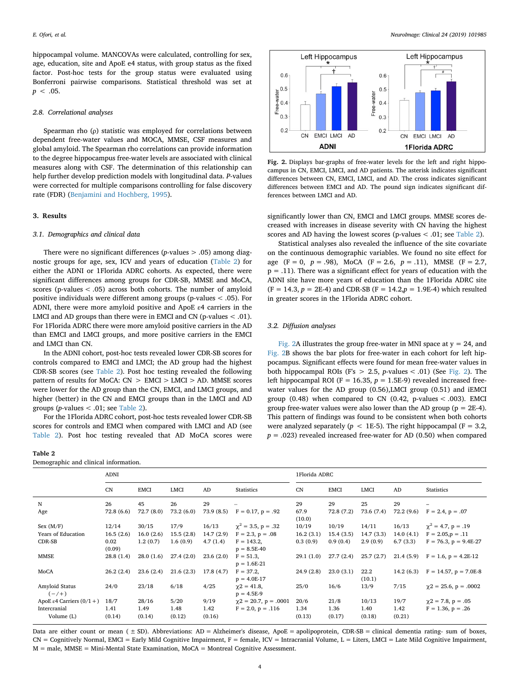hippocampal volume. MANCOVAs were calculated, controlling for sex, age, education, site and ApoE e4 status, with group status as the fixed factor. Post-hoc tests for the group status were evaluated using Bonferroni pairwise comparisons. Statistical threshold was set at  $p < .05$ .

#### *2.8. Correlational analyses*

Spearman rho (ρ) statistic was employed for correlations between dependent free-water values and MOCA, MMSE, CSF measures and global amyloid. The Spearman rho correlations can provide information to the degree hippocampus free-water levels are associated with clinical measures along with CSF. The determination of this relationship can help further develop prediction models with longitudinal data. *P*-values were corrected for multiple comparisons controlling for false discovery rate (FDR) ([Benjamini and Hochberg, 1995\)](#page-5-6).

#### **3. Results**

## *3.1. Demographics and clinical data*

There were no significant differences (*p*-values > .05) among diagnostic groups for age, sex, ICV and years of education ([Table 2](#page-3-0)) for either the ADNI or 1Florida ADRC cohorts. As expected, there were significant differences among groups for CDR-SB, MMSE and MoCA, scores (p-values < .05) across both cohorts. The number of amyloid positive individuals were different among groups (p-values < .05). For ADNI, there were more amyloid positive and ApoE ε4 carriers in the LMCI and AD groups than there were in EMCI and CN (p-values  $< .01$ ). For 1Florida ADRC there were more amyloid positive carriers in the AD than EMCI and LMCI groups, and more positive carriers in the EMCI and LMCI than CN.

In the ADNI cohort, post-hoc tests revealed lower CDR-SB scores for controls compared to EMCI and LMCI; the AD group had the highest CDR-SB scores (see [Table 2\)](#page-3-0). Post hoc testing revealed the following pattern of results for MoCA:  $CN > EMCI > LMCI > AD$ . MMSE scores were lower for the AD group than the CN, EMCI, and LMCI groups, and higher (better) in the CN and EMCI groups than in the LMCI and AD groups (*p*-values < .01; see [Table 2](#page-3-0)).

For the 1Florida ADRC cohort, post-hoc tests revealed lower CDR-SB scores for controls and EMCI when compared with LMCI and AD (see [Table 2](#page-3-0)). Post hoc testing revealed that AD MoCA scores were

| Table 2                               |  |
|---------------------------------------|--|
| Demographic and clinical information. |  |

<span id="page-3-0"></span>**Table 2**

<span id="page-3-1"></span>

**Fig. 2.** Displays bar-graphs of free-water levels for the left and right hippocampus in CN, EMCI, LMCI, and AD patients. The asterisk indicates significant differences between CN, EMCI, LMCI, and AD. The cross indicates significant differences between EMCI and AD. The pound sign indicates significant differences between LMCI and AD.

significantly lower than CN, EMCI and LMCI groups. MMSE scores decreased with increases in disease severity with CN having the highest scores and AD having the lowest scores (p-values < .01; see [Table 2\)](#page-3-0).

Statistical analyses also revealed the influence of the site covariate on the continuous demographic variables. We found no site effect for age (F = 0, *p* = .98), MoCA (F = 2.6, *p* = .11), MMSE (F = 2.7,  $p = .11$ ). There was a significant effect for years of education with the ADNI site have more years of education than the 1Florida ADRC site  $(F = 14.3, p = 2E-4)$  and CDR-SB  $(F = 14.2, p = 1.9E-4)$  which resulted in greater scores in the 1Florida ADRC cohort.

# *3.2. Diffusion analyses*

[Fig. 2A](#page-3-1) illustrates the group free-water in MNI space at  $y = 24$ , and [Fig. 2](#page-3-1)B shows the bar plots for free-water in each cohort for left hippocampus. Significant effects were found for mean free-water values in both hippocampal ROIs (F's  $> 2.5$ , *p*-values  $< .01$ ) (See [Fig. 2\)](#page-3-1). The left hippocampal ROI ( $F = 16.35$ ,  $p = 1.5E-9$ ) revealed increased freewater values for the AD group (0.56),LMCI group (0.51) and iEMCI group  $(0.48)$  when compared to CN  $(0.42, p-values < .003)$ . EMCI group free-water values were also lower than the AD group ( $p = 2E-4$ ). This pattern of findings was found to be consistent when both cohorts were analyzed separately ( $p < 1E-5$ ). The right hippocampal ( $F = 3.2$ ,  $p = .023$ ) revealed increased free-water for AD (0.50) when compared

|                             | <b>ADNI</b>    |             |           |           |                                    | 1Florida ADRC  |             |                |           |                              |  |
|-----------------------------|----------------|-------------|-----------|-----------|------------------------------------|----------------|-------------|----------------|-----------|------------------------------|--|
|                             | CN             | <b>EMCI</b> | LMCI      | AD        | Statistics                         | CN             | <b>EMCI</b> | <b>LMCI</b>    | AD        | Statistics                   |  |
| $\mathbf N$                 | 26             | 45          | 26        | 29        |                                    | 29             | 29          | 25             | 29        |                              |  |
| Age                         | 72.8(6.6)      | 72.7(8.0)   | 73.2(6.0) | 73.9(8.5) | $F = 0.17$ , $p = .92$             | 67.9<br>(10.0) | 72.8 (7.2)  | 73.6 (7.4)     | 72.2(9.6) | $F = 2.4, p = .07$           |  |
| Sex (M/F)                   | 12/14          | 30/15       | 17/9      | 16/13     | $\chi^2 = 3.5, p = .32$            | 10/19          | 10/19       | 14/11          | 16/13     | $\chi^2$ = 4.7, p = .19      |  |
| Years of Education          | 16.5(2.6)      | 16.0(2.6)   | 15.5(2.8) | 14.7(2.9) | $F = 2.3, p = .08$                 | 16.2(3.1)      | 15.4(3.5)   | 14.7(3.3)      | 14.0(4.1) | $F = 2.05, p = .11$          |  |
| CDR-SB                      | 0.02<br>(0.09) | 1.2(0.7)    | 1.6(0.9)  | 4.7(1.4)  | $F = 143.2$<br>$p = 8.5E-40$       | 0.3(0.9)       | 0.9(0.4)    | 2.9(0.9)       | 6.7(3.3)  | $F = 76.3$ , $p = 9.4E-27$   |  |
| <b>MMSE</b>                 | 28.8(1.4)      | 28.0(1.6)   | 27.4(2.0) | 23.6(2.0) | $F = 51.3$<br>$p = 1.6E-21$        | 29.1(1.0)      | 27.7(2.4)   | 25.7(2.7)      | 21.4(5.9) | $F = 1.6$ , $p = 4.2E-12$    |  |
| MoCA                        | 26.2(2.4)      | 23.6(2.4)   | 21.6(2.3) | 17.8(4.7) | $F = 37.2$ ,<br>$p = 4.0E-17$      | 24.9(2.8)      | 23.0(3.1)   | 22.2<br>(10.1) | 14.2(6.3) | $F = 14.57$ , $p = 7.0E-8$   |  |
| Amyloid Status<br>$(-/+)$   | 24/0           | 23/18       | 6/18      | 4/25      | $\gamma$ 2 = 41.8,<br>$p = 4.5E-9$ | 25/0           | 16/6        | 13/9           | 7/15      | $\gamma$ 2 = 25.6, p = .0002 |  |
| ApoE ε4 Carriers $(0/1 + )$ | 18/7           | 28/16       | 5/20      | 9/19      | $\gamma$ 2 = 20.7, p = .0001       | 20/6           | 21/8        | 10/13          | 19/7      | $\gamma$ 2 = 7.8, p = .05    |  |
| Intercranial                | 1.41           | 1.49        | 1.48      | 1.42      | $F = 2.0, p = .116$                | 1.34           | 1.36        | 1.40           | 1.42      | $F = 1.36, p = .26$          |  |
| Volume (L)                  | (0.14)         | (0.14)      | (0.12)    | (0.16)    |                                    | (0.13)         | (0.17)      | (0.18)         | (0.21)    |                              |  |

Data are either count or mean ( ± SD). Abbreviations: AD = Alzheimer's disease, ApoE = apolipoprotein, CDR-SB = clinical dementia rating- sum of boxes, CN = Cognitively Normal, EMCI = Early Mild Cognitive Impairment, F = female, ICV = Intracranial Volume, L = Liters, LMCI = Late Mild Cognitive Impairment, M = male, MMSE = Mini-Mental State Examination, MoCA = Montreal Cognitive Assessment.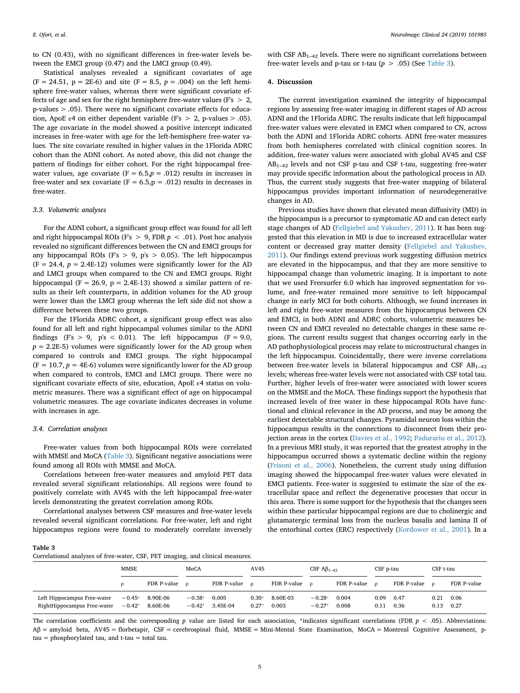to CN (0.43), with no significant differences in free-water levels between the EMCI group (0.47) and the LMCI group (0.49).

Statistical analyses revealed a significant covariates of age  $(F = 24.51, p = 2E-6)$  and site  $(F = 8.5, p = .004)$  on the left hemisphere free-water values, whereas there were significant covariate effects of age and sex for the right hemisphere free-water values (F's  $> 2$ , p-values > .05). There were no significant covariate effects for education, ApoE  $\varepsilon$ 4 on either dependent variable (F's > 2, p-values > .05). The age covariate in the model showed a positive intercept indicated increases in free-water with age for the left-hemisphere free-water values. The site covariate resulted in higher values in the 1Florida ADRC cohort than the ADNI cohort. As noted above, this did not change the pattern of findings for either cohort. For the right hippocampal freewater values, age covariate ( $F = 6.5$ , $p = .012$ ) results in increases in free-water and sex covariate ( $F = 6.5$ , $p = .012$ ) results in decreases in free-water.

## *3.3. Volumetric analyses*

For the ADNI cohort, a significant group effect was found for all left and right hippocampal ROIs (F's > 9, FDR *p* < .01). Post hoc analysis revealed no significant differences between the CN and EMCI groups for any hippocampal ROIs (F's  $> 9$ , p's  $> 0.05$ ). The left hippocampus  $(F = 24.4, p = 2.4E-12)$  volumes were significantly lower for the AD and LMCI groups when compared to the CN and EMCI groups. Right hippocampal (F = 26.9,  $p = 2.4E-13$ ) showed a similar pattern of results as their left counterparts, in addition volumes for the AD group were lower than the LMCI group whereas the left side did not show a difference between these two groups.

For the 1Florida ADRC cohort, a significant group effect was also found for all left and right hippocampal volumes similar to the ADNI findings (F's > 9, p's < 0.01). The left hippocampus (F = 9.0,  $p = 2.2E-5$ ) volumes were significantly lower for the AD group when compared to controls and EMCI groups. The right hippocampal  $(F = 10.7, p = 4E-6)$  volumes were significantly lower for the AD group when compared to controls, EMCI and LMCI groups. There were no significant covariate effects of site, education, ApoE ε4 status on volumetric measures. There was a significant effect of age on hippocampal volumetric measures. The age covariate indicates decreases in volume with increases in age.

#### *3.4. Correlation analyses*

Free-water values from both hippocampal ROIs were correlated with MMSE and MoCA [\(Table 3](#page-4-0)). Significant negative associations were found among all ROIs with MMSE and MoCA.

Correlations between free-water measures and amyloid PET data revealed several significant relationships. All regions were found to positively correlate with AV45 with the left hippocampal free-water levels demonstrating the greatest correlation among ROIs.

Correlational analyses between CSF measures and free-water levels revealed several significant correlations. For free-water, left and right hippocampus regions were found to moderately correlate inversely with CSF  $AB_{1-42}$  levels. There were no significant correlations between free-water levels and p-tau or t-tau  $(p > .05)$  (See [Table 3](#page-4-0)).

## **4. Discussion**

The current investigation examined the integrity of hippocampal regions by assessing free-water imaging in different stages of AD across ADNI and the 1Florida ADRC. The results indicate that left hippocampal free-water values were elevated in EMCI when compared to CN, across both the ADNI and 1Florida ADRC cohorts. ADNI free-water measures from both hemispheres correlated with clinical cognition scores. In addition, free-water values were associated with global AV45 and CSF  $AB_{1-42}$  levels and not CSF p-tau and CSF t-tau, suggesting free-water may provide specific information about the pathological process in AD. Thus, the current study suggests that free-water mapping of bilateral hippocampus provides important information of neurodegenerative changes in AD.

Previous studies have shown that elevated mean diffusivity (MD) in the hippocampus is a precursor to symptomatic AD and can detect early stage changes of AD [\(Fellgiebel and Yakushev, 2011](#page-6-24)). It has been suggested that this elevation in MD is due to increased extracellular water content or decreased gray matter density ([Fellgiebel and Yakushev,](#page-6-24) [2011\)](#page-6-24). Our findings extend previous work suggesting diffusion metrics are elevated in the hippocampus, and that they are more sensitive to hippocampal change than volumetric imaging. It is important to note that we used Freesurfer 6.0 which has improved segmentation for volume, and free-water remained more sensitive to left hippocampal change in early MCI for both cohorts. Although, we found increases in left and right free-water measures from the hippocampus between CN and EMCI, in both ADNI and ADRC cohorts, volumetric measures between CN and EMCI revealed no detectable changes in these same regions. The current results suggest that changes occurring early in the AD pathophysiological process may relate to microstructural changes in the left hippocampus. Coincidentally, there were inverse correlations between free-water levels in bilateral hippocampus and CSF  $AB_{1-42}$ levels; whereas free-water levels were not associated with CSF total tau. Further, higher levels of free-water were associated with lower scores on the MMSE and the MoCA. These findings support the hypothesis that increased levels of free water in these hippocampal ROIs have functional and clinical relevance in the AD process, and may be among the earliest detectable structural changes. Pyramidal neuron loss within the hippocampus results in the connections to disconnect from their projection areas in the cortex ([Davies et al., 1992](#page-6-25); [Padurariu et al., 2012](#page-6-7)). In a previous MRI study, it was reported that the greatest atrophy in the hippocampus occurred shows a systematic decline within the regiony ([Frisoni et al., 2006](#page-6-6)). Nonetheless, the current study using diffusion imaging showed the hippocampal free-water values were elevated in EMCI patients. Free-water is suggested to estimate the size of the extracellular space and reflect the degenerative processes that occur in this area. There is some support for the hypothesis that the changes seen within these particular hippocampal regions are due to cholinergic and glutamatergic terminal loss from the nucleus basalis and lamina II of the entorhinal cortex (ERC) respectively ([Kordower et al., 2001](#page-6-26)). In a

#### <span id="page-4-0"></span>**Table 3**

Correlational analyses of free-water, CSF, PET imaging, and clinical measures.

|                                                            | MMSE                 |                      | MoCA<br>AV45         |                   |                    | CSF $\mathbf{A}\mathbf{\beta}_{1-42}$ |                      | CSF p-tau      |              | CSF t-tau    |              |              |
|------------------------------------------------------------|----------------------|----------------------|----------------------|-------------------|--------------------|---------------------------------------|----------------------|----------------|--------------|--------------|--------------|--------------|
|                                                            |                      | FDR P-value          | $\Omega$             | FDR P-value       | $\Omega$           | FDR P-value $\rho$                    |                      | FDR P-value    | $\Omega$     | FDR P-value  | $\Omega$     | FDR P-value  |
| Left Hippocampus Free-water<br>RightHippocampus Free-water | $-0.45*$<br>$-0.42*$ | 8.90E-06<br>8.60E-06 | $-0.38*$<br>$-0.42*$ | 0.005<br>3.45E-04 | $0.30*$<br>$0.27*$ | 8.60E-03<br>0.003                     | $-0.28*$<br>$-0.27*$ | 0.004<br>0.008 | 0.09<br>0.11 | 0.47<br>0.36 | 0.21<br>0.13 | 0.06<br>0.27 |

The correlation coefficients and the corresponding  $p$  value are listed for each association, \*indicates significant correlations (FDR  $p < .05$ ). Abbreviations: Aβ = amyloid beta, AV45 = florbetapir, CSF = cerebrospinal fluid, MMSE = Mini-Mental State Examination, MoCA = Montreal Cognitive Assessment, ptau = phosphorylated tau, and t-tau = total tau.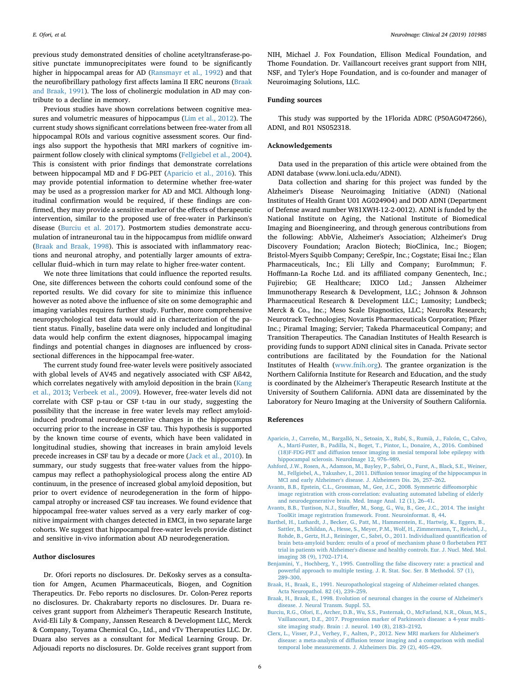previous study demonstrated densities of choline acetyltransferase-positive punctate immunoprecipitates were found to be significantly higher in hippocampal areas for AD [\(Ransmayr et al., 1992\)](#page-6-27) and that the neurofibrillary pathology first affects lamina II ERC neurons [\(Braak](#page-5-7) [and Braak, 1991\)](#page-5-7). The loss of cholinergic modulation in AD may contribute to a decline in memory.

Previous studies have shown correlations between cognitive measures and volumetric measures of hippocampus [\(Lim et al., 2012\)](#page-6-28). The current study shows significant correlations between free-water from all hippocampal ROIs and various cognitive assessment scores. Our findings also support the hypothesis that MRI markers of cognitive impairment follow closely with clinical symptoms ([Fellgiebel et al., 2004](#page-6-29)). This is consistent with prior findings that demonstrate correlations between hippocampal MD and F DG-PET [\(Aparicio et al., 2016\)](#page-5-8). This may provide potential information to determine whether free-water may be used as a progression marker for AD and MCI. Although longitudinal confirmation would be required, if these findings are confirmed, they may provide a sensitive marker of the effects of therapeutic intervention, similar to the proposed use of free-water in Parkinson's disease ([Burciu et al. 2017](#page-5-9)). Postmortem studies demonstrate accumulation of intraneuronal tau in the hippocampus from midlife onward ([Braak and Braak, 1998\)](#page-5-0). This is associated with inflammatory reactions and neuronal atrophy, and potentially larger amounts of extracellular fluid–which in turn may relate to higher free-water content.

We note three limitations that could influence the reported results. One, site differences between the cohorts could confound some of the reported results. We did covary for site to minimize this influence however as noted above the influence of site on some demographic and imaging variables requires further study. Further, more comprehensive neuropsychological test data would aid in characterization of the patient status. Finally, baseline data were only included and longitudinal data would help confirm the extent diagnoses, hippocampal imaging findings and potential changes in diagnoses are influenced by crosssectional differences in the hippocampal free-water.

The current study found free-water levels were positively associated with global levels of AV45 and negatively associated with CSF Aß42, which correlates negatively with amyloid deposition in the brain ([Kang](#page-6-30) [et al., 2013;](#page-6-30) [Verbeek et al., 2009](#page-6-31)). However, free-water levels did not correlate with CSF p-tau or CSF t-tau in our study, suggesting the possibility that the increase in free water levels may reflect amyloidinduced prodromal neurodegenerative changes in the hippocampus occurring prior to the increase in CSF tau. This hypothesis is supported by the known time course of events, which have been validated in longitudinal studies, showing that increases in brain amyloid levels precede increases in CSF tau by a decade or more [\(Jack et al., 2010](#page-6-0)). In summary, our study suggests that free-water values from the hippocampus may reflect a pathophysiological process along the entire AD continuum, in the presence of increased global amyloid deposition, but prior to overt evidence of neurodegeneration in the form of hippocampal atrophy or increased CSF tau increases. We found evidence that hippocampal free-water values served as a very early marker of cognitive impairment with changes detected in EMCI, in two separate large cohorts. We suggest that hippocampal free-water levels provide distinct and sensitive in-vivo information about AD neurodegeneration.

## **Author disclosures**

Dr. Ofori reports no disclosures. Dr. DeKosky serves as a consultation for Amgen, Acumen Pharmaceuticals, Biogen, and Cognition Therapeutics. Dr. Febo reports no disclosures. Dr. Colon-Perez reports no disclosures. Dr. Chakrabarty reports no disclosures. Dr. Duara receives grant support from Alzheimer's Therapeutic Research Institute, Avid-Eli Lily & Company, Janssen Research & Development LLC, Merck & Company, Toyama Chemical Co., Ltd., and vTv Therapeutics LLC. Dr. Duara also serves as a consultant for Medical Learning Group. Dr. Adjouadi reports no disclosures. Dr. Golde receives grant support from NIH, Michael J. Fox Foundation, Ellison Medical Foundation, and Thome Foundation. Dr. Vaillancourt receives grant support from NIH, NSF, and Tyler's Hope Foundation, and is co-founder and manager of Neuroimaging Solutions, LLC.

#### **Funding sources**

This study was supported by the 1Florida ADRC (P50AG047266), ADNI, and R01 NS052318.

## **Acknowledgements**

Data used in the preparation of this article were obtained from the ADNI database (www.loni.ucla.edu/ADNI).

Data collection and sharing for this project was funded by the Alzheimer's Disease Neuroimaging Initiative (ADNI) (National Institutes of Health Grant U01 AG024904) and DOD ADNI (Department of Defense award number W81XWH-12-2-0012). ADNI is funded by the National Institute on Aging, the National Institute of Biomedical Imaging and Bioengineering, and through generous contributions from the following: AbbVie, Alzheimer's Association; Alzheimer's Drug Discovery Foundation; Araclon Biotech; BioClinica, Inc.; Biogen; Bristol-Myers Squibb Company; CereSpir, Inc.; Cogstate; Eisai Inc.; Elan Pharmaceuticals, Inc.; Eli Lilly and Company; EuroImmun; F. Hoffmann-La Roche Ltd. and its affiliated company Genentech, Inc.; Fujirebio; GE Healthcare; IXICO Ltd.; Janssen Alzheimer Immunotherapy Research & Development, LLC.; Johnson & Johnson Pharmaceutical Research & Development LLC.; Lumosity; Lundbeck; Merck & Co., Inc.; Meso Scale Diagnostics, LLC.; NeuroRx Research; Neurotrack Technologies; Novartis Pharmaceuticals Corporation; Pfizer Inc.; Piramal Imaging; Servier; Takeda Pharmaceutical Company; and Transition Therapeutics. The Canadian Institutes of Health Research is providing funds to support ADNI clinical sites in Canada. Private sector contributions are facilitated by the Foundation for the National Institutes of Health ([www.fnih.org\)](http://www.fnih.org). The grantee organization is the Northern California Institute for Research and Education, and the study is coordinated by the Alzheimer's Therapeutic Research Institute at the University of Southern California. ADNI data are disseminated by the Laboratory for Neuro Imaging at the University of Southern California.

## **References**

- <span id="page-5-8"></span>[Aparicio, J., Carreño, M., Bargalló, N., Setoain, X., Rubí, S., Rumià, J., Falcón, C., Calvo,](http://refhub.elsevier.com/S2213-1582(19)30335-3/rf0005) [A., Martí-Fuster, B., Padilla, N., Boget, T., Pintor, L., Donaire, A., 2016. Combined](http://refhub.elsevier.com/S2213-1582(19)30335-3/rf0005) [\(18\)F-FDG-PET and diffusion tensor imaging in mesial temporal lobe epilepsy with](http://refhub.elsevier.com/S2213-1582(19)30335-3/rf0005) [hippocampal sclerosis. NeuroImage 12, 976–989](http://refhub.elsevier.com/S2213-1582(19)30335-3/rf0005).
- <span id="page-5-1"></span>[Ashford, J.W., Rosen, A., Adamson, M., Bayley, P., Sabri, O., Furst, A., Black, S.E., Weiner,](http://refhub.elsevier.com/S2213-1582(19)30335-3/rf0010) [M., Fellgiebel, A., Yakushev, I., 2011. Diffusion tensor imaging of the hippocampus in](http://refhub.elsevier.com/S2213-1582(19)30335-3/rf0010) [MCI and early Alzheimer's disease. J. Alzheimers Dis. 26, 257–262](http://refhub.elsevier.com/S2213-1582(19)30335-3/rf0010).
- <span id="page-5-3"></span>[Avants, B.B., Epstein, C.L., Grossman, M., Gee, J.C., 2008. Symmetric diffeomorphic](http://refhub.elsevier.com/S2213-1582(19)30335-3/rf0015) [image registration with cross-correlation: evaluating automated labeling of elderly](http://refhub.elsevier.com/S2213-1582(19)30335-3/rf0015) [and neurodegenerative brain. Med. Image Anal. 12 \(1\), 26–41](http://refhub.elsevier.com/S2213-1582(19)30335-3/rf0015).
- <span id="page-5-4"></span>[Avants, B.B., Tustison, N.J., Stauffer, M., Song, G., Wu, B., Gee, J.C., 2014. The insight](http://refhub.elsevier.com/S2213-1582(19)30335-3/rf0020) [ToolKit image registration framework. Front. Neuroinformat. 8, 44](http://refhub.elsevier.com/S2213-1582(19)30335-3/rf0020).
- <span id="page-5-5"></span>[Barthel, H., Luthardt, J., Becker, G., Patt, M., Hammerstein, E., Hartwig, K., Eggers, B.,](http://refhub.elsevier.com/S2213-1582(19)30335-3/rf1000) [Sattler, B., Schildan, A., Hesse, S., Meyer, P.M., Wolf, H., Zimmermann, T., Reischl, J.,](http://refhub.elsevier.com/S2213-1582(19)30335-3/rf1000) [Rohde, B., Gertz, H.J., Reininger, C., Sabri, O., 2011. Individualized quantification of](http://refhub.elsevier.com/S2213-1582(19)30335-3/rf1000) [brain beta-amyloid burden: results of a proof of mechanism phase 0 florbetaben PET](http://refhub.elsevier.com/S2213-1582(19)30335-3/rf1000) [trial in patients with Alzheimer's disease and healthy controls. Eur. J. Nucl. Med. Mol.](http://refhub.elsevier.com/S2213-1582(19)30335-3/rf1000) [imaging 38 \(9\), 1702–1714](http://refhub.elsevier.com/S2213-1582(19)30335-3/rf1000).
- <span id="page-5-6"></span>[Benjamini, Y., Hochberg, Y., 1995. Controlling the false discovery rate: a practical and](http://refhub.elsevier.com/S2213-1582(19)30335-3/rf0025) [powerful approach to multiple testing. J. R. Stat. Soc. Ser. B Methodol. 57 \(1\),](http://refhub.elsevier.com/S2213-1582(19)30335-3/rf0025) [289–300](http://refhub.elsevier.com/S2213-1582(19)30335-3/rf0025).
- <span id="page-5-7"></span>[Braak, H., Braak, E., 1991. Neuropathological stageing of Alzheimer-related changes.](http://refhub.elsevier.com/S2213-1582(19)30335-3/rf0030) [Acta Neuropathol. 82 \(4\), 239–259.](http://refhub.elsevier.com/S2213-1582(19)30335-3/rf0030)
- <span id="page-5-0"></span>[Braak, H., Braak, E., 1998. Evolution of neuronal changes in the course of Alzheimer's](http://refhub.elsevier.com/S2213-1582(19)30335-3/rf0035) [disease. J. Neural Transm. Suppl. 53.](http://refhub.elsevier.com/S2213-1582(19)30335-3/rf0035)
- <span id="page-5-9"></span>[Burciu, R.G., Ofori, E., Archer, D.B., Wu, S.S., Pasternak, O., McFarland, N.R., Okun, M.S.,](http://refhub.elsevier.com/S2213-1582(19)30335-3/rf3000) [Vaillancourt, D.E., 2017. Progression marker of Parkinson's disease: a 4-year multi](http://refhub.elsevier.com/S2213-1582(19)30335-3/rf3000)[site imaging study. Brain : J. neurol. 140 \(8\), 2183–2192.](http://refhub.elsevier.com/S2213-1582(19)30335-3/rf3000)
- <span id="page-5-2"></span>[Clerx, L., Visser, P.J., Verhey, F., Aalten, P., 2012. New MRI markers for Alzheimer's](http://refhub.elsevier.com/S2213-1582(19)30335-3/rf0040) [disease: a meta-analysis of diffusion tensor imaging and a comparison with medial](http://refhub.elsevier.com/S2213-1582(19)30335-3/rf0040) [temporal lobe measurements. J. Alzheimers Dis. 29 \(2\), 405–429](http://refhub.elsevier.com/S2213-1582(19)30335-3/rf0040).